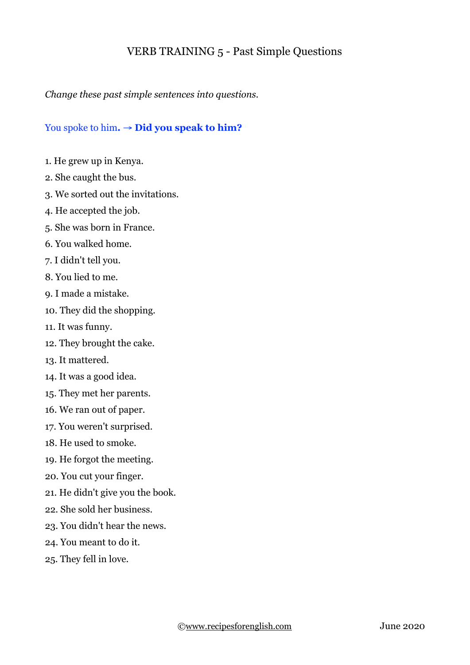## VERB TRAINING 5 - Past Simple Questions

## *Change these past simple sentences into questions.*

## You spoke to him**.** → **Did you speak to him?**

- 1. He grew up in Kenya.
- 2. She caught the bus.
- 3. We sorted out the invitations.
- 4. He accepted the job.
- 5. She was born in France.
- 6. You walked home.
- 7. I didn't tell you.
- 8. You lied to me.
- 9. I made a mistake.
- 10. They did the shopping.
- 11. It was funny.
- 12. They brought the cake.
- 13. It mattered.
- 14. It was a good idea.
- 15. They met her parents.
- 16. We ran out of paper.
- 17. You weren't surprised.
- 18. He used to smoke.
- 19. He forgot the meeting.
- 20. You cut your finger.
- 21. He didn't give you the book.
- 22. She sold her business.
- 23. You didn't hear the news.
- 24. You meant to do it.
- 25. They fell in love.